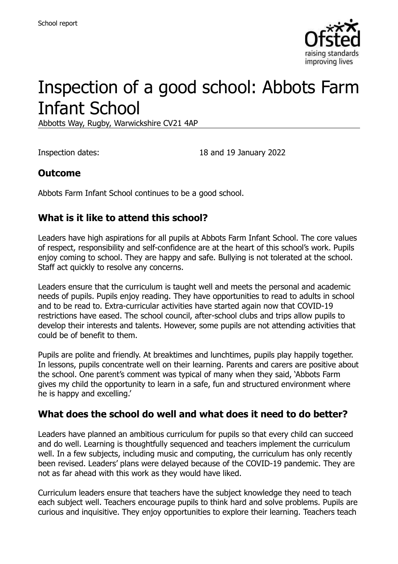

# Inspection of a good school: Abbots Farm Infant School

Abbotts Way, Rugby, Warwickshire CV21 4AP

Inspection dates: 18 and 19 January 2022

#### **Outcome**

Abbots Farm Infant School continues to be a good school.

#### **What is it like to attend this school?**

Leaders have high aspirations for all pupils at Abbots Farm Infant School. The core values of respect, responsibility and self-confidence are at the heart of this school's work. Pupils enjoy coming to school. They are happy and safe. Bullying is not tolerated at the school. Staff act quickly to resolve any concerns.

Leaders ensure that the curriculum is taught well and meets the personal and academic needs of pupils. Pupils enjoy reading. They have opportunities to read to adults in school and to be read to. Extra-curricular activities have started again now that COVID-19 restrictions have eased. The school council, after-school clubs and trips allow pupils to develop their interests and talents. However, some pupils are not attending activities that could be of benefit to them.

Pupils are polite and friendly. At breaktimes and lunchtimes, pupils play happily together. In lessons, pupils concentrate well on their learning. Parents and carers are positive about the school. One parent's comment was typical of many when they said, 'Abbots Farm gives my child the opportunity to learn in a safe, fun and structured environment where he is happy and excelling.'

#### **What does the school do well and what does it need to do better?**

Leaders have planned an ambitious curriculum for pupils so that every child can succeed and do well. Learning is thoughtfully sequenced and teachers implement the curriculum well. In a few subjects, including music and computing, the curriculum has only recently been revised. Leaders' plans were delayed because of the COVID-19 pandemic. They are not as far ahead with this work as they would have liked.

Curriculum leaders ensure that teachers have the subject knowledge they need to teach each subject well. Teachers encourage pupils to think hard and solve problems. Pupils are curious and inquisitive. They enjoy opportunities to explore their learning. Teachers teach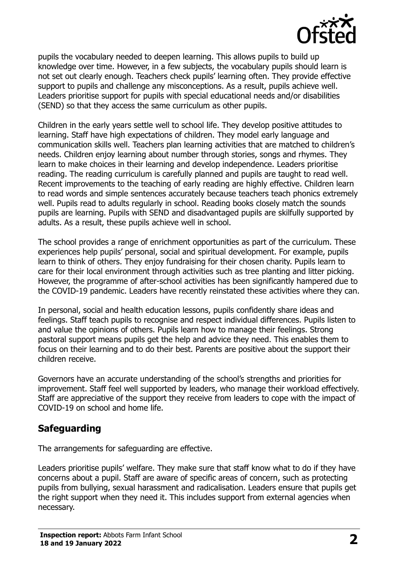

pupils the vocabulary needed to deepen learning. This allows pupils to build up knowledge over time. However, in a few subjects, the vocabulary pupils should learn is not set out clearly enough. Teachers check pupils' learning often. They provide effective support to pupils and challenge any misconceptions. As a result, pupils achieve well. Leaders prioritise support for pupils with special educational needs and/or disabilities (SEND) so that they access the same curriculum as other pupils.

Children in the early years settle well to school life. They develop positive attitudes to learning. Staff have high expectations of children. They model early language and communication skills well. Teachers plan learning activities that are matched to children's needs. Children enjoy learning about number through stories, songs and rhymes. They learn to make choices in their learning and develop independence. Leaders prioritise reading. The reading curriculum is carefully planned and pupils are taught to read well. Recent improvements to the teaching of early reading are highly effective. Children learn to read words and simple sentences accurately because teachers teach phonics extremely well. Pupils read to adults regularly in school. Reading books closely match the sounds pupils are learning. Pupils with SEND and disadvantaged pupils are skilfully supported by adults. As a result, these pupils achieve well in school.

The school provides a range of enrichment opportunities as part of the curriculum. These experiences help pupils' personal, social and spiritual development. For example, pupils learn to think of others. They enjoy fundraising for their chosen charity. Pupils learn to care for their local environment through activities such as tree planting and litter picking. However, the programme of after-school activities has been significantly hampered due to the COVID-19 pandemic. Leaders have recently reinstated these activities where they can.

In personal, social and health education lessons, pupils confidently share ideas and feelings. Staff teach pupils to recognise and respect individual differences. Pupils listen to and value the opinions of others. Pupils learn how to manage their feelings. Strong pastoral support means pupils get the help and advice they need. This enables them to focus on their learning and to do their best. Parents are positive about the support their children receive.

Governors have an accurate understanding of the school's strengths and priorities for improvement. Staff feel well supported by leaders, who manage their workload effectively. Staff are appreciative of the support they receive from leaders to cope with the impact of COVID-19 on school and home life.

#### **Safeguarding**

The arrangements for safeguarding are effective.

Leaders prioritise pupils' welfare. They make sure that staff know what to do if they have concerns about a pupil. Staff are aware of specific areas of concern, such as protecting pupils from bullying, sexual harassment and radicalisation. Leaders ensure that pupils get the right support when they need it. This includes support from external agencies when necessary.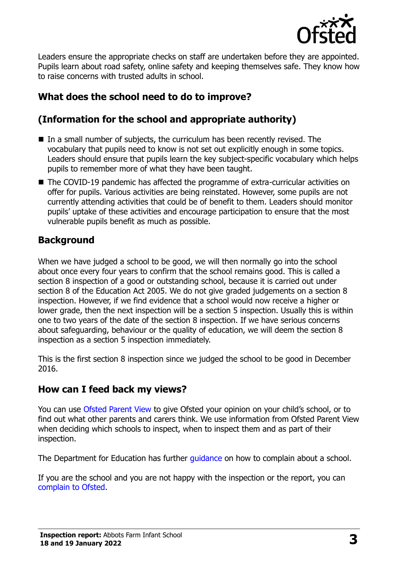

Leaders ensure the appropriate checks on staff are undertaken before they are appointed. Pupils learn about road safety, online safety and keeping themselves safe. They know how to raise concerns with trusted adults in school.

# **What does the school need to do to improve?**

# **(Information for the school and appropriate authority)**

- In a small number of subjects, the curriculum has been recently revised. The vocabulary that pupils need to know is not set out explicitly enough in some topics. Leaders should ensure that pupils learn the key subject-specific vocabulary which helps pupils to remember more of what they have been taught.
- The COVID-19 pandemic has affected the programme of extra-curricular activities on offer for pupils. Various activities are being reinstated. However, some pupils are not currently attending activities that could be of benefit to them. Leaders should monitor pupils' uptake of these activities and encourage participation to ensure that the most vulnerable pupils benefit as much as possible.

### **Background**

When we have judged a school to be good, we will then normally go into the school about once every four years to confirm that the school remains good. This is called a section 8 inspection of a good or outstanding school, because it is carried out under section 8 of the Education Act 2005. We do not give graded judgements on a section 8 inspection. However, if we find evidence that a school would now receive a higher or lower grade, then the next inspection will be a section 5 inspection. Usually this is within one to two years of the date of the section 8 inspection. If we have serious concerns about safeguarding, behaviour or the quality of education, we will deem the section 8 inspection as a section 5 inspection immediately.

This is the first section 8 inspection since we judged the school to be good in December 2016.

# **How can I feed back my views?**

You can use [Ofsted Parent View](https://parentview.ofsted.gov.uk/) to give Ofsted your opinion on your child's school, or to find out what other parents and carers think. We use information from Ofsted Parent View when deciding which schools to inspect, when to inspect them and as part of their inspection.

The Department for Education has further quidance on how to complain about a school.

If you are the school and you are not happy with the inspection or the report, you can [complain to Ofsted.](https://www.gov.uk/complain-ofsted-report)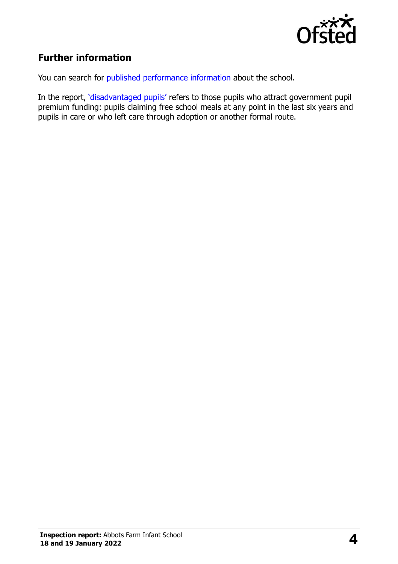

# **Further information**

You can search for [published performance information](http://www.compare-school-performance.service.gov.uk/) about the school.

In the report, '[disadvantaged pupils](http://www.gov.uk/guidance/pupil-premium-information-for-schools-and-alternative-provision-settings)' refers to those pupils who attract government pupil premium funding: pupils claiming free school meals at any point in the last six years and pupils in care or who left care through adoption or another formal route.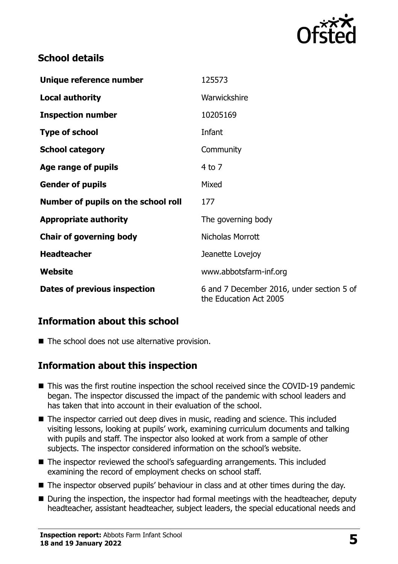

## **School details**

| Unique reference number             | 125573                                                              |
|-------------------------------------|---------------------------------------------------------------------|
| <b>Local authority</b>              | Warwickshire                                                        |
| <b>Inspection number</b>            | 10205169                                                            |
| <b>Type of school</b>               | Infant                                                              |
| <b>School category</b>              | Community                                                           |
| Age range of pupils                 | $4$ to $7$                                                          |
| <b>Gender of pupils</b>             | Mixed                                                               |
| Number of pupils on the school roll | 177                                                                 |
| <b>Appropriate authority</b>        | The governing body                                                  |
| <b>Chair of governing body</b>      | Nicholas Morrott                                                    |
| <b>Headteacher</b>                  | Jeanette Lovejoy                                                    |
| Website                             | www.abbotsfarm-inf.org                                              |
| Dates of previous inspection        | 6 and 7 December 2016, under section 5 of<br>the Education Act 2005 |

#### **Information about this school**

■ The school does not use alternative provision.

#### **Information about this inspection**

- This was the first routine inspection the school received since the COVID-19 pandemic began. The inspector discussed the impact of the pandemic with school leaders and has taken that into account in their evaluation of the school.
- The inspector carried out deep dives in music, reading and science. This included visiting lessons, looking at pupils' work, examining curriculum documents and talking with pupils and staff. The inspector also looked at work from a sample of other subjects. The inspector considered information on the school's website.
- The inspector reviewed the school's safeguarding arrangements. This included examining the record of employment checks on school staff.
- The inspector observed pupils' behaviour in class and at other times during the day.
- During the inspection, the inspector had formal meetings with the headteacher, deputy headteacher, assistant headteacher, subject leaders, the special educational needs and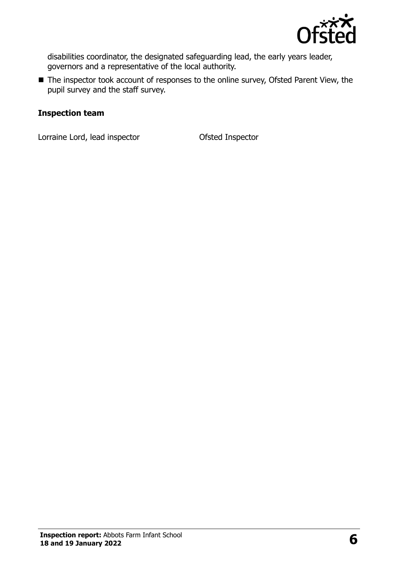

disabilities coordinator, the designated safeguarding lead, the early years leader, governors and a representative of the local authority.

■ The inspector took account of responses to the online survey, Ofsted Parent View, the pupil survey and the staff survey.

#### **Inspection team**

Lorraine Lord, lead inspector Ofsted Inspector